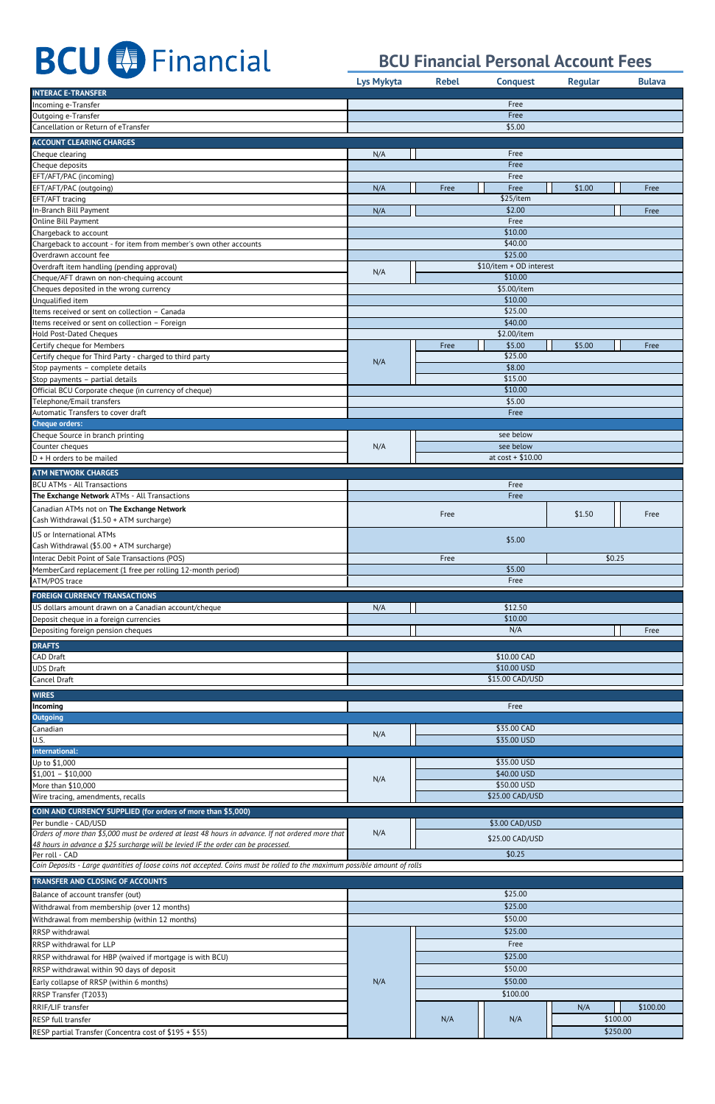|                                                                                                                                                                                          | <b>Lys Mykyta</b> | <b>Rebel</b> | <b>Conquest</b>            | <b>Regular</b> | <b>Bulava</b>        |
|------------------------------------------------------------------------------------------------------------------------------------------------------------------------------------------|-------------------|--------------|----------------------------|----------------|----------------------|
| <b>INTERAC E-TRANSFER</b>                                                                                                                                                                |                   |              |                            |                |                      |
| Incoming e-Transfer<br>Outgoing e-Transfer                                                                                                                                               | Free<br>Free      |              |                            |                |                      |
| Cancellation or Return of eTransfer                                                                                                                                                      | \$5.00            |              |                            |                |                      |
| <b>ACCOUNT CLEARING CHARGES</b>                                                                                                                                                          |                   |              |                            |                |                      |
| Cheque clearing                                                                                                                                                                          | N/A               |              | Free                       |                |                      |
| Cheque deposits                                                                                                                                                                          |                   |              | Free<br>Free               |                |                      |
| EFT/AFT/PAC (incoming)<br>EFT/AFT/PAC (outgoing)                                                                                                                                         | N/A               | Free         | Free                       | \$1.00         | Free                 |
| EFT/AFT tracing                                                                                                                                                                          |                   |              | \$25/item                  |                |                      |
| In-Branch Bill Payment                                                                                                                                                                   | N/A               |              | \$2.00                     |                | Free                 |
| Online Bill Payment<br>Chargeback to account                                                                                                                                             |                   |              | Free<br>\$10.00            |                |                      |
| Chargeback to account - for item from member's own other accounts                                                                                                                        |                   |              | \$40.00                    |                |                      |
| Overdrawn account fee                                                                                                                                                                    |                   |              | \$25.00                    |                |                      |
| Overdraft item handling (pending approval)                                                                                                                                               | N/A               |              | \$10/item + OD interest    |                |                      |
| Cheque/AFT drawn on non-chequing account<br>Cheques deposited in the wrong currency                                                                                                      |                   |              | \$10.00<br>\$5.00/item     |                |                      |
| Unqualified item                                                                                                                                                                         | \$10.00           |              |                            |                |                      |
| Items received or sent on collection - Canada                                                                                                                                            | \$25.00           |              |                            |                |                      |
| Items received or sent on collection - Foreign<br><b>Hold Post-Dated Cheques</b>                                                                                                         |                   |              | \$40.00<br>\$2.00/item     |                |                      |
| Certify cheque for Members                                                                                                                                                               |                   | Free         | \$5.00                     | \$5.00         | Free                 |
| Certify cheque for Third Party - charged to third party                                                                                                                                  | N/A               |              | \$25.00                    |                |                      |
| Stop payments - complete details                                                                                                                                                         |                   |              | \$8.00                     |                |                      |
| Stop payments - partial details<br>Official BCU Corporate cheque (in currency of cheque)                                                                                                 |                   |              | \$15.00<br>\$10.00         |                |                      |
| Telephone/Email transfers                                                                                                                                                                |                   |              | \$5.00                     |                |                      |
| Automatic Transfers to cover draft                                                                                                                                                       |                   |              | Free                       |                |                      |
| <b>Cheque orders:</b>                                                                                                                                                                    |                   |              |                            |                |                      |
| Cheque Source in branch printing<br>Counter cheques                                                                                                                                      | N/A               |              | see below<br>see below     |                |                      |
| $D + H$ orders to be mailed                                                                                                                                                              |                   |              | at $cost + $10.00$         |                |                      |
| <b>ATM NETWORK CHARGES</b>                                                                                                                                                               |                   |              |                            |                |                      |
| <b>BCU ATMs - All Transactions</b>                                                                                                                                                       |                   |              | Free                       |                |                      |
| The Exchange Network ATMs - All Transactions                                                                                                                                             |                   |              | Free                       |                |                      |
| Canadian ATMs not on The Exchange Network                                                                                                                                                |                   | Free         |                            | \$1.50         | Free                 |
| Cash Withdrawal (\$1.50 + ATM surcharge)<br>US or International ATMs                                                                                                                     |                   |              |                            |                |                      |
| Cash Withdrawal (\$5.00 + ATM surcharge)                                                                                                                                                 |                   |              | \$5.00                     |                |                      |
| Interac Debit Point of Sale Transactions (POS)                                                                                                                                           | \$0.25<br>Free    |              |                            |                |                      |
|                                                                                                                                                                                          |                   |              |                            |                |                      |
| MemberCard replacement (1 free per rolling 12-month period)                                                                                                                              |                   |              | \$5.00                     |                |                      |
| ATM/POS trace                                                                                                                                                                            |                   |              | Free                       |                |                      |
| <b>FOREIGN CURRENCY TRANSACTIONS</b>                                                                                                                                                     |                   |              |                            |                |                      |
| US dollars amount drawn on a Canadian account/cheque                                                                                                                                     | N/A               |              | \$12.50                    |                |                      |
| Deposit cheque in a foreign currencies<br>Depositing foreign pension cheques                                                                                                             |                   |              | \$10.00<br>N/A             |                | Free                 |
| <b>DRAFTS</b>                                                                                                                                                                            |                   |              |                            |                |                      |
| <b>CAD Draft</b>                                                                                                                                                                         |                   |              | \$10.00 CAD                |                |                      |
| <b>UDS Draft</b>                                                                                                                                                                         |                   |              | \$10.00 USD                |                |                      |
| Cancel Draft                                                                                                                                                                             |                   |              | \$15.00 CAD/USD            |                |                      |
| <b>WIRES</b>                                                                                                                                                                             |                   |              |                            |                |                      |
| Incoming<br><b>Outgoing</b>                                                                                                                                                              |                   |              | Free                       |                |                      |
| Canadian                                                                                                                                                                                 |                   |              | \$35.00 CAD                |                |                      |
| U.S.                                                                                                                                                                                     | N/A               |              | \$35.00 USD                |                |                      |
| International:                                                                                                                                                                           |                   |              |                            |                |                      |
| Up to \$1,000<br>$$1,001 - $10,000$                                                                                                                                                      |                   |              | \$35.00 USD<br>\$40.00 USD |                |                      |
| More than \$10,000                                                                                                                                                                       | N/A               |              | \$50.00 USD                |                |                      |
| Wire tracing, amendments, recalls                                                                                                                                                        |                   |              | \$25.00 CAD/USD            |                |                      |
| COIN AND CURRENCY SUPPLIED (for orders of more than \$5,000)                                                                                                                             |                   |              |                            |                |                      |
| Per bundle - CAD/USD                                                                                                                                                                     |                   |              | \$3.00 CAD/USD             |                |                      |
| Orders of more than \$5,000 must be ordered at least 48 hours in advance. If not ordered more that<br>48 hours in advance a \$25 surcharge will be levied IF the order can be processed. | N/A               |              | \$25.00 CAD/USD            |                |                      |
| Per roll - CAD                                                                                                                                                                           |                   |              | \$0.25                     |                |                      |
| Coin Deposits - Large quantities of loose coins not accepted. Coins must be rolled to the maximum possible amount of rolls                                                               |                   |              |                            |                |                      |
| TRANSFER AND CLOSING OF ACCOUNTS                                                                                                                                                         |                   |              |                            |                |                      |
| Balance of account transfer (out)                                                                                                                                                        |                   |              | \$25.00                    |                |                      |
| Withdrawal from membership (over 12 months)                                                                                                                                              |                   |              | \$25.00                    |                |                      |
| Withdrawal from membership (within 12 months)                                                                                                                                            |                   |              | \$50.00                    |                |                      |
| RRSP withdrawal<br>RRSP withdrawal for LLP                                                                                                                                               |                   |              | \$25.00<br>Free            |                |                      |
| RRSP withdrawal for HBP (waived if mortgage is with BCU)                                                                                                                                 |                   |              | \$25.00                    |                |                      |
| RRSP withdrawal within 90 days of deposit                                                                                                                                                |                   |              | \$50.00                    |                |                      |
| Early collapse of RRSP (within 6 months)                                                                                                                                                 | N/A               |              | \$50.00                    |                |                      |
| RRSP Transfer (T2033)                                                                                                                                                                    |                   |              | \$100.00                   |                |                      |
| RRIF/LIF transfer<br>RESP full transfer                                                                                                                                                  |                   | N/A          | N/A                        | N/A            | \$100.00<br>\$100.00 |

## **BCU BE** Financial

### **BCU Financial Personal Account Fees**